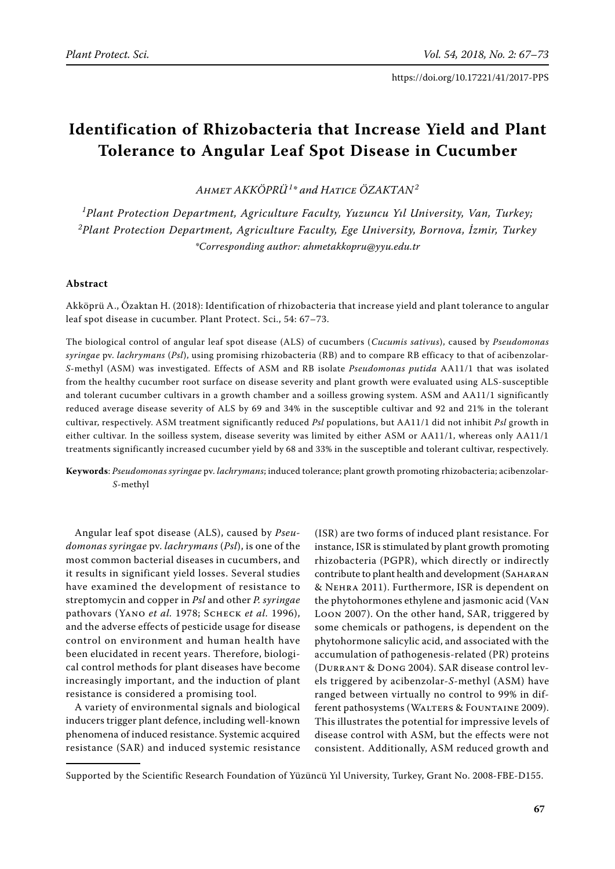# **Identification of Rhizobacteria that Increase Yield and Plant Tolerance to Angular Leaf Spot Disease in Cucumber**

*Ahmet Akköprü<sup>1</sup> \* and Hatice Özaktan<sup>2</sup>*

*1 Plant Protection Department, Agriculture Faculty, Yuzuncu Yıl University, Van, Turkey; 2 Plant Protection Department, Agriculture Faculty, Ege University, Bornova, İzmir, Turkey \*Corresponding author: ahmetakkopru@yyu.edu.tr*

#### **Abstract**

Akköprü A., Özaktan H. (2018): Identification of rhizobacteria that increase yield and plant tolerance to angular leaf spot disease in cucumber. Plant Protect. Sci., 54: 67–73.

The biological control of angular leaf spot disease (ALS) of cucumbers (*Cucumis sativus*), caused by *Pseudomonas syringae* pv. *lachrymans* (*Psl*), using promising rhizobacteria (RB) and to compare RB efficacy to that of acibenzolar-*S*-methyl (ASM) was investigated. Effects of ASM and RB isolate *Pseudomonas putida* AA11/1 that was isolated from the healthy cucumber root surface on disease severity and plant growth were evaluated using ALS-susceptible and tolerant cucumber cultivars in a growth chamber and a soilless growing system. ASM and AA11/1 significantly reduced average disease severity of ALS by 69 and 34% in the susceptible cultivar and 92 and 21% in the tolerant cultivar, respectively. ASM treatment significantly reduced *Psl* populations, but AA11/1 did not inhibit *Psl* growth in either cultivar. In the soilless system, disease severity was limited by either ASM or AA11/1, whereas only AA11/1 treatments significantly increased cucumber yield by 68 and 33% in the susceptible and tolerant cultivar, respectively.

**Keywords**: *Pseudomonas syringae* pv. *lachrymans*; induced tolerance; plant growth promoting rhizobacteria; acibenzolar-*S*-methyl

Angular leaf spot disease (ALS), caused by *Pseudomonas syringae* pv. *lachrymans* (*Psl*), is one of the most common bacterial diseases in cucumbers, and it results in significant yield losses. Several studies have examined the development of resistance to streptomycin and copper in *Psl* and other *P. syringae*  pathovars (Yano *et al.* 1978; Scheck *et al.* 1996), and the adverse effects of pesticide usage for disease control on environment and human health have been elucidated in recent years. Therefore, biological control methods for plant diseases have become increasingly important, and the induction of plant resistance is considered a promising tool.

A variety of environmental signals and biological inducers trigger plant defence, including well-known phenomena of induced resistance. Systemic acquired resistance (SAR) and induced systemic resistance

(ISR) are two forms of induced plant resistance. For instance, ISR is stimulated by plant growth promoting rhizobacteria (PGPR), which directly or indirectly contribute to plant health and development (SAHARAN & Nehra 2011). Furthermore, ISR is dependent on the phytohormones ethylene and jasmonic acid (Van Loon 2007). On the other hand, SAR, triggered by some chemicals or pathogens, is dependent on the phytohormone salicylic acid, and associated with the accumulation of pathogenesis-related (PR) proteins (Durrant & Dong 2004). SAR disease control levels triggered by acibenzolar-*S*-methyl (ASM) have ranged between virtually no control to 99% in different pathosystems (WALTERS & FOUNTAINE 2009). This illustrates the potential for impressive levels of disease control with ASM, but the effects were not consistent. Additionally, ASM reduced growth and

Supported by the Scientific Research Foundation of Yüzüncü Yıl University, Turkey, Grant No. 2008-FBE-D155.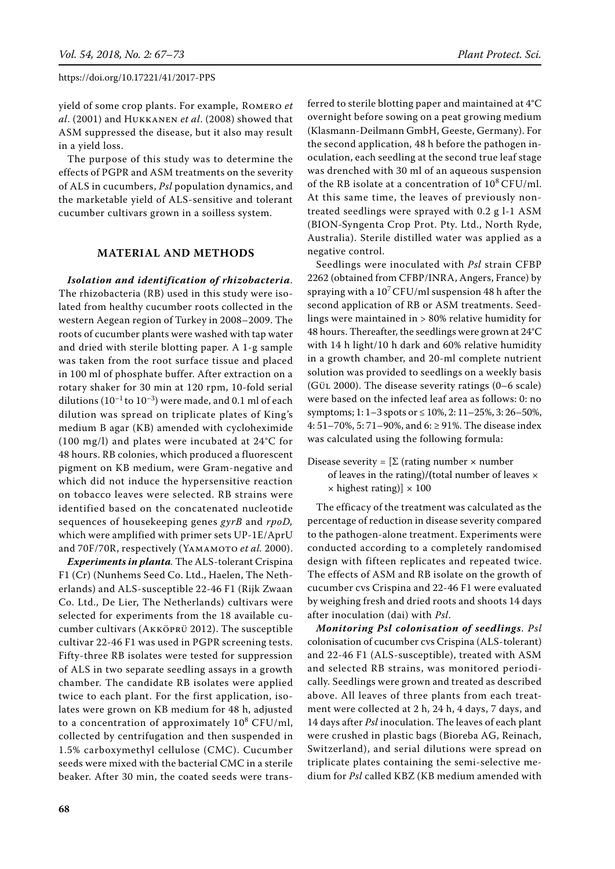yield of some crop plants. For example, Romero *et al*. (2001) and Hukkanen *et al*. (2008) showed that ASM suppressed the disease, but it also may result in a yield loss.

The purpose of this study was to determine the effects of PGPR and ASM treatments on the severity of ALS in cucumbers, *Psl* population dynamics, and the marketable yield of ALS-sensitive and tolerant cucumber cultivars grown in a soilless system.

# **MATERIAL AND METHODS**

*Isolation and identification of rhizobacteria*. The rhizobacteria (RB) used in this study were isolated from healthy cucumber roots collected in the western Aegean region of Turkey in 2008–2009. The roots of cucumber plants were washed with tap water and dried with sterile blotting paper. A 1-g sample was taken from the root surface tissue and placed in 100 ml of phosphate buffer. After extraction on a rotary shaker for 30 min at 120 rpm, 10-fold serial dilutions  $(10^{-1}$  to  $10^{-3})$  were made, and 0.1 ml of each dilution was spread on triplicate plates of King's medium B agar (KB) amended with cycloheximide (100 mg/l) and plates were incubated at 24°C for 48 hours. RB colonies, which produced a fluorescent pigment on KB medium, were Gram-negative and which did not induce the hypersensitive reaction on tobacco leaves were selected. RB strains were identified based on the concatenated nucleotide sequences of housekeeping genes *gyrB* and *rpoD,* which were amplified with primer sets UP-1E/AprU and 70F/70R, respectively (YAMAMOTO et al. 2000).

*Experiments in planta.* The ALS-tolerant Crispina F1 (Cr) (Nunhems Seed Co. Ltd., Haelen, The Netherlands) and ALS-susceptible 22-46 F1 (Rijk Zwaan Co. Ltd., De Lier, The Netherlands) cultivars were selected for experiments from the 18 available cucumber cultivars (Akköprü 2012). The susceptible cultivar 22-46 F1 was used in PGPR screening tests. Fifty-three RB isolates were tested for suppression of ALS in two separate seedling assays in a growth chamber. The candidate RB isolates were applied twice to each plant. For the first application, isolates were grown on KB medium for 48 h, adjusted to a concentration of approximately  $10^8$  CFU/ml, collected by centrifugation and then suspended in 1.5% carboxymethyl cellulose (CMC). Cucumber seeds were mixed with the bacterial CMC in a sterile beaker. After 30 min, the coated seeds were transferred to sterile blotting paper and maintained at 4°C overnight before sowing on a peat growing medium (Klasmann-Deilmann GmbH, Geeste, Germany). For the second application, 48 h before the pathogen inoculation, each seedling at the second true leaf stage was drenched with 30 ml of an aqueous suspension of the RB isolate at a concentration of  $10^8$  CFU/ml. At this same time, the leaves of previously nontreated seedlings were sprayed with 0.2 g l-1 ASM (BION-Syngenta Crop Prot. Pty. Ltd., North Ryde, Australia). Sterile distilled water was applied as a negative control.

Seedlings were inoculated with *Psl* strain CFBP 2262 (obtained from CFBP/INRA, Angers, France) by spraying with a  $10^7$  CFU/ml suspension 48 h after the second application of RB or ASM treatments. Seedlings were maintained in > 80% relative humidity for 48 hours. Thereafter, the seedlings were grown at 24°C with 14 h light/10 h dark and 60% relative humidity in a growth chamber, and 20-ml complete nutrient solution was provided to seedlings on a weekly basis (Gül 2000). The disease severity ratings (0–6 scale) were based on the infected leaf area as follows: 0: no symptoms; 1:  $1-3$  spots or  $\leq 10\%$ ,  $2: 11-25\%$ ,  $3: 26-50\%$ , 4: 51–70%, 5: 71–90%, and 6: ≥ 91%. The disease index was calculated using the following formula:

Disease severity =  $[\Sigma$  (rating number  $\times$  number of leaves in the rating)**/(**total number of leaves ×  $\times$  highest rating)]  $\times$  100

The efficacy of the treatment was calculated as the percentage of reduction in disease severity compared to the pathogen-alone treatment. Experiments were conducted according to a completely randomised design with fifteen replicates and repeated twice. The effects of ASM and RB isolate on the growth of cucumber cvs Crispina and 22-46 F1 were evaluated by weighing fresh and dried roots and shoots 14 days after inoculation (dai) with *Psl*.

*Monitoring Psl colonisation of seedlings*. *Psl* colonisation of cucumber cvs Crispina (ALS-tolerant) and 22-46 F1 (ALS-susceptible), treated with ASM and selected RB strains, was monitored periodically. Seedlings were grown and treated as described above. All leaves of three plants from each treatment were collected at 2 h, 24 h, 4 days, 7 days, and 14 days after *Psl* inoculation. The leaves of each plant were crushed in plastic bags (Bioreba AG, Reinach, Switzerland), and serial dilutions were spread on triplicate plates containing the semi-selective medium for *Psl* called KBZ (KB medium amended with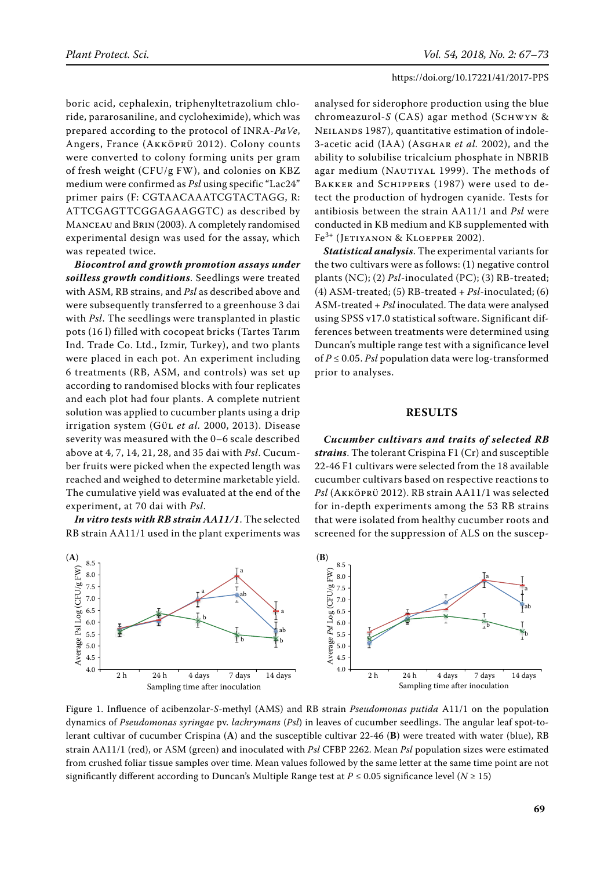boric acid, cephalexin, triphenyltetrazolium chloride, pararosaniline, and cycloheximide), which was prepared according to the protocol of INRA-*PaVe*, Angers, France (Akköprü 2012). Colony counts were converted to colony forming units per gram of fresh weight (CFU/g FW), and colonies on KBZ medium were confirmed as *Psl* using specific "Lac24" primer pairs (F: CGTAACAAATCGTACTAGG, R: ATTCGAGTTCGGAGAAGGTC) as described by Manceau and Brin (2003). A completely randomised experimental design was used for the assay, which was repeated twice.

*Biocontrol and growth promotion assays under soilless growth conditions*. Seedlings were treated with ASM, RB strains, and *Psl* as described above and were subsequently transferred to a greenhouse 3 dai with *Psl*. The seedlings were transplanted in plastic pots (16 l) filled with cocopeat bricks (Tartes Tarım Ind. Trade Co. Ltd., Izmir, Turkey), and two plants were placed in each pot. An experiment including 6 treatments (RB, ASM, and controls) was set up according to randomised blocks with four replicates and each plot had four plants. A complete nutrient solution was applied to cucumber plants using a drip irrigation system (Gül *et al.* 2000, 2013). Disease severity was measured with the 0–6 scale described above at 4, 7, 14, 21, 28, and 35 dai with *Psl*. Cucumber fruits were picked when the expected length was reached and weighed to determine marketable yield. The cumulative yield was evaluated at the end of the experiment, at 70 dai with *Psl*.

*In vitro tests with RB strain AA11/1*. The selected RB strain AA11/1 used in the plant experiments was analysed for siderophore production using the blue chromeazurol-*S* (CAS) agar method (SСНWYN & NEILANDS 1987), quantitative estimation of indole-3-acetic acid (IAA) (Asghar *et al.* 2002), and the ability to solubilise tricalcium phosphate in NBRIB agar medium (NAUTIYAL 1999). The methods of BAKKER and SCHIPPERS (1987) were used to detect the production of hydrogen cyanide. Tests for antibiosis between the strain AA11/1 and *Psl* were conducted in KB medium and KB supplemented with Fe<sup>3+</sup> (JETIYANON & KLOEPPER 2002).

*Statistical analysis*. The experimental variants for the two cultivars were as follows: (1) negative control plants (NC); (2) *Psl*-inoculated (PC); (3) RB-treated; (4) ASM-treated; (5) RB-treated + *Psl*-inoculated; (6) ASM-treated + *Psl* inoculated. The data were analysed using SPSS v17.0 statistical software. Significant differences between treatments were determined using Duncan's multiple range test with a significance level of *P* ≤ 0.05. *Psl* population data were log-transformed prior to analyses.

#### **RESULTS**

*Cucumber cultivars and traits of selected RB strains*. The tolerant Crispina F1 (Cr) and susceptible 22-46 F1 cultivars were selected from the 18 available cucumber cultivars based on respective reactions to *Psl* (Akköprü 2012). RB strain AA11/1 was selected for in-depth experiments among the 53 RB strains that were isolated from healthy cucumber roots and screened for the suppression of ALS on the suscep-



Figure 1. Influence of acibenzolar-*S*-methyl (AMS) and RB strain *Pseudomonas putida* A11/1 on the population dynamics of *Pseudomonas syringae* pv. *lachrymans* (*Psl*) in leaves of cucumber seedlings. The angular leaf spot-tolerant cultivar of cucumber Crispina (**A**) and the susceptible cultivar 22-46 (**B**) were treated with water (blue), RB strain AA11/1 (red), or ASM (green) and inoculated with *Psl* CFBP 2262. Mean *Psl* population sizes were estimated from crushed foliar tissue samples over time. Mean values followed by the same letter at the same time point are not significantly different according to Duncan's Multiple Range test at  $P \le 0.05$  significance level ( $N \ge 15$ )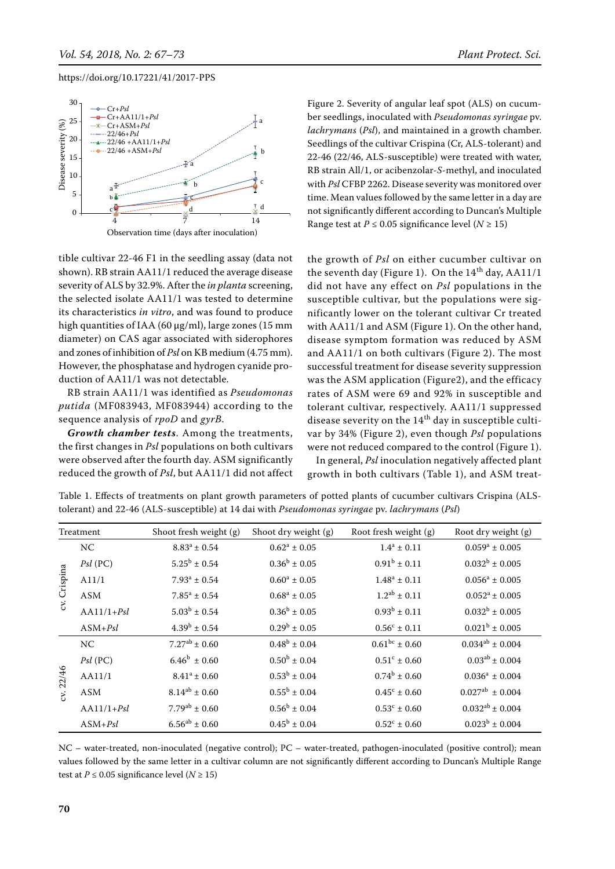

tible cultivar 22-46 F1 in the seedling assay (data not shown). RB strain AA11/1 reduced the average disease severity of ALS by 32.9%. After the *in planta* screening, the selected isolate AA11/1 was tested to determine its characteristics *in vitro*, and was found to produce high quantities of IAA (60  $\mu$ g/ml), large zones (15 mm diameter) on CAS agar associated with siderophores and zones of inhibition of *Psl* on KB medium (4.75 mm). However, the phosphatase and hydrogen cyanide production of AA11/1 was not detectable.

RB strain AA11/1 was identified as *Pseudomonas putida* (MF083943, MF083944) according to the sequence analysis of *rpoD* and *gyrB*.

*Growth chamber tests*. Among the treatments, the first changes in *Psl* populations on both cultivars were observed after the fourth day. ASM significantly reduced the growth of *Psl*, but AA11/1 did not affect Figure 2. Severity of angular leaf spot (ALS) on cucumber seedlings, inoculated with *Pseudomonas syringae* pv. *lachrymans* (*Psl*), and maintained in a growth chamber. Seedlings of the cultivar Crispina (Cr, ALS-tolerant) and 22-46 (22/46, ALS-susceptible) were treated with water, RB strain All/1, or acibenzolar-*S*-methyl, and inoculated with *Psl* CFBP 2262. Disease severity was monitored over time. Mean values followed by the same letter in a day are not significantly different according to Duncan's Multiple Range test at  $P \le 0.05$  significance level ( $N \ge 15$ )

the growth of *Psl* on either cucumber cultivar on the seventh day (Figure 1). On the  $14<sup>th</sup>$  day, AA11/1 did not have any effect on *Psl* populations in the susceptible cultivar, but the populations were significantly lower on the tolerant cultivar Cr treated with AA11/1 and ASM (Figure 1). On the other hand, disease symptom formation was reduced by ASM and AA11/1 on both cultivars (Figure 2). The most successful treatment for disease severity suppression was the ASM application (Figure2), and the efficacy rates of ASM were 69 and 92% in susceptible and tolerant cultivar, respectively. AA11/1 suppressed disease severity on the  $14<sup>th</sup>$  day in susceptible cultivar by 34% (Figure 2), even though *Psl* populations were not reduced compared to the control (Figure 1).

In general, *Psl* inoculation negatively affected plant growth in both cultivars (Table 1), and ASM treat-

| Treatment    |              | Shoot fresh weight (g)  | Shoot dry weight (g)    | Root fresh weight (g)   | Root dry weight (g)    |
|--------------|--------------|-------------------------|-------------------------|-------------------------|------------------------|
|              | NC           | $8.83^a \pm 0.54$       | $0.62^a \pm 0.05$       | $1.4^a \pm 0.11$        | $0.059^a \pm 0.005$    |
| cv. Crispina | $Psl$ (PC)   | $5.25^{\rm b} \pm 0.54$ | $0.36^b \pm 0.05$       | $0.91^b \pm 0.11$       | $0.032^b \pm 0.005$    |
|              | A11/1        | $7.93^a \pm 0.54$       | $0.60^a \pm 0.05$       | $1.48^a \pm 0.11$       | $0.056^a \pm 0.005$    |
|              | ASM          | $7.85^a \pm 0.54$       | $0.68^a \pm 0.05$       | $1.2^{ab} \pm 0.11$     | $0.052^a \pm 0.005$    |
|              | $AA11/1+Psl$ | $5.03^b \pm 0.54$       | $0.36^b \pm 0.05$       | $0.93^b \pm 0.11$       | $0.032^b \pm 0.005$    |
|              | $ASM+Psl$    | $4.39^{\rm b} \pm 0.54$ | $0.29^b \pm 0.05$       | $0.56^{\circ} \pm 0.11$ | $0.021^b \pm 0.005$    |
|              | NC           | $7.27^{ab}$ ± 0.60      | $0.48^b \pm 0.04$       | $0.61^{bc} \pm 0.60$    | $0.034^{ab} \pm 0.004$ |
|              | $Psl$ (PC)   | $6.46^b \pm 0.60$       | $0.50^{\rm b} \pm 0.04$ | $0.51^{\circ} \pm 0.60$ | $0.03^{ab} \pm 0.004$  |
| 22/46        | AA11/1       | $8.41^a \pm 0.60$       | $0.53^b \pm 0.04$       | $0.74^b \pm 0.60$       | $0.036^a \pm 0.004$    |
| $\mathbf{S}$ | ASM          | $8.14^{ab} \pm 0.60$    | $0.55^{\rm b} \pm 0.04$ | $0.45^{\circ} \pm 0.60$ | $0.027^{ab} \pm 0.004$ |
|              | $AA11/1+Psl$ | $7.79^{ab} \pm 0.60$    | $0.56^{\rm b} \pm 0.04$ | $0.53^{\circ} \pm 0.60$ | $0.032^{ab} \pm 0.004$ |
|              | $ASM+Psl$    | $6.56^{ab} \pm 0.60$    | $0.45^{\rm b} \pm 0.04$ | $0.52^{\circ} \pm 0.60$ | $0.023^b \pm 0.004$    |

Table 1. Effects of treatments on plant growth parameters of potted plants of cucumber cultivars Crispina (ALStolerant) and 22-46 (ALS-susceptible) at 14 dai with *Pseudomonas syringae* pv. *lachrymans* (*Psl*)

NC – water-treated, non-inoculated (negative control); PC – water-treated, pathogen-inoculated (positive control); mean values followed by the same letter in a cultivar column are not significantly different according to Duncan's Multiple Range test at  $P \le 0.05$  significance level ( $N \ge 15$ )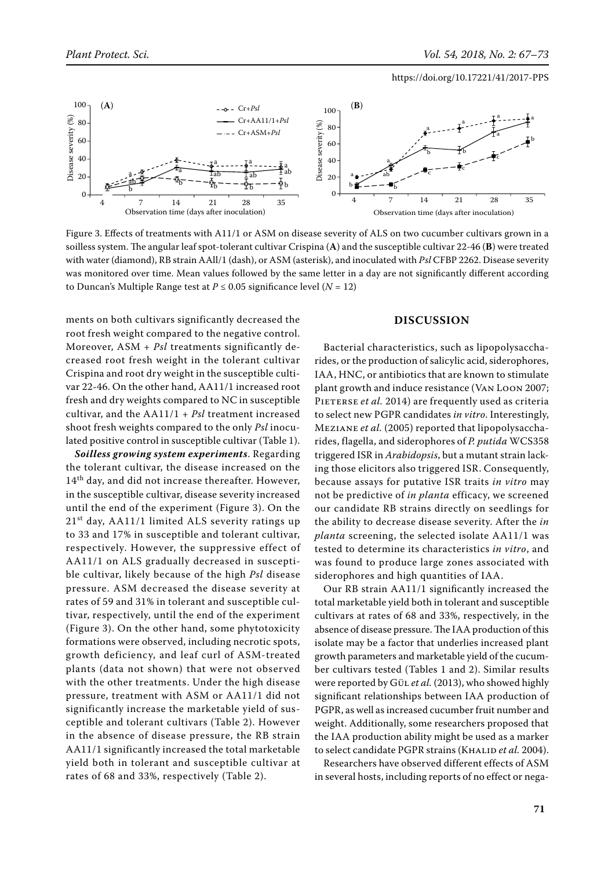

Figure 3. Effects of treatments with A11/1 or ASM on disease severity of ALS on two cucumber cultivars grown in a soilless system. The angular leaf spot-tolerant cultivar Crispina (**A**) and the susceptible cultivar 22-46 (**B**) were treated with water (diamond), RB strain AAll/1 (dash), or ASM (asterisk), and inoculated with *Psl* CFBP 2262. Disease severity was monitored over time. Mean values followed by the same letter in a day are not significantly different according to Duncan's Multiple Range test at  $P \le 0.05$  significance level ( $N = 12$ )

ments on both cultivars significantly decreased the root fresh weight compared to the negative control. Moreover, ASM + *Psl* treatments significantly decreased root fresh weight in the tolerant cultivar Crispina and root dry weight in the susceptible cultivar 22-46. On the other hand, AA11/1 increased root fresh and dry weights compared to NC in susceptible cultivar, and the AA11/1 + *Psl* treatment increased shoot fresh weights compared to the only *Psl* inoculated positive control in susceptible cultivar (Table 1).

*Soilless growing system experiments*. Regarding the tolerant cultivar, the disease increased on the  $14<sup>th</sup>$  day, and did not increase thereafter. However, in the susceptible cultivar, disease severity increased until the end of the experiment (Figure 3). On the  $21<sup>st</sup>$  day, AA11/1 limited ALS severity ratings up to 33 and 17% in susceptible and tolerant cultivar, respectively. However, the suppressive effect of AA11/1 on ALS gradually decreased in susceptible cultivar, likely because of the high *Psl* disease pressure. ASM decreased the disease severity at rates of 59 and 31% in tolerant and susceptible cultivar, respectively, until the end of the experiment (Figure 3). On the other hand, some phytotoxicity formations were observed, including necrotic spots, growth deficiency, and leaf curl of ASM-treated plants (data not shown) that were not observed with the other treatments. Under the high disease pressure, treatment with ASM or AA11/1 did not significantly increase the marketable yield of susceptible and tolerant cultivars (Table 2). However in the absence of disease pressure, the RB strain AA11/1 significantly increased the total marketable yield both in tolerant and susceptible cultivar at rates of 68 and 33%, respectively (Table 2).

## **DISCUSSION**

Bacterial characteristics, such as lipopolysaccharides, or the production of salicylic acid, siderophores, IAA, HNC, or antibiotics that are known to stimulate plant growth and induce resistance (Van Loon 2007; PIETERSE *et al.* 2014) are frequently used as criteria to select new PGPR candidates *in vitro*. Interestingly, Meziane *et al.* (2005) reported that lipopolysaccharides, flagella, and siderophores of *P. putida* WCS358 triggered ISR in *Arabidopsis*, but a mutant strain lacking those elicitors also triggered ISR. Consequently, because assays for putative ISR traits *in vitro* may not be predictive of *in planta* efficacy, we screened our candidate RB strains directly on seedlings for the ability to decrease disease severity. After the *in planta* screening, the selected isolate AA11/1 was tested to determine its characteristics *in vitro*, and was found to produce large zones associated with siderophores and high quantities of IAA.

Our RB strain AA11/1 significantly increased the total marketable yield both in tolerant and susceptible cultivars at rates of 68 and 33%, respectively, in the absence of disease pressure. The IAA production of this isolate may be a factor that underlies increased plant growth parameters and marketable yield of the cucumber cultivars tested (Tables 1 and 2). Similar results were reported by Gü<sub>L</sub> et al. (2013), who showed highly significant relationships between IAA production of PGPR, as well as increased cucumber fruit number and weight. Additionally, some researchers proposed that the IAA production ability might be used as a marker to select candidate PGPR strains (KHALID et al. 2004).

Researchers have observed different effects of ASM in several hosts, including reports of no effect or nega-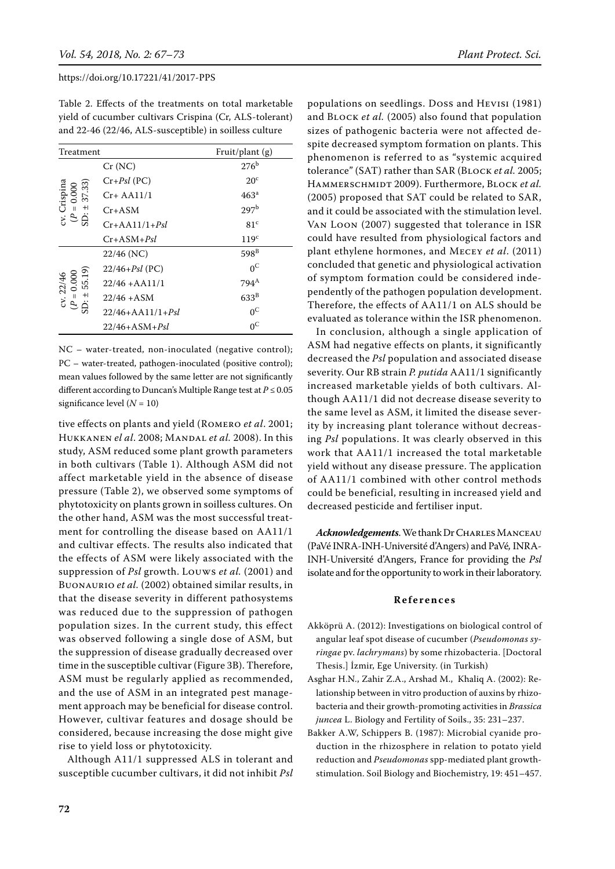Table 2. Effects of the treatments on total marketable yield of cucumber cultivars Crispina (Cr, ALS-tolerant) and 22-46 (22/46, ALS-susceptible) in soilless culture

| Treatment                                    |                        | Fruit/plant $(g)$ |  |
|----------------------------------------------|------------------------|-------------------|--|
|                                              | Cr(NC)                 | 276 <sup>b</sup>  |  |
|                                              | $Cr+Psl$ (PC)          | $20^{\circ}$      |  |
| Crispina<br>$v = 0.000$<br>37.33)            | $Cr+AA11/1$            | 463 <sup>a</sup>  |  |
| $+1$                                         | Cr+ASM                 | 297 <sup>b</sup>  |  |
| Ś.<br>ćΥ.<br>e,                              | $Cr+AA11/1+Psl$        | 81 <sup>c</sup>   |  |
|                                              | Cr+ASM+ <i>Psl</i>     | 119 <sup>c</sup>  |  |
|                                              | $22/46$ (NC)           | $598^B$           |  |
|                                              | $22/46 + Psl$ (PC)     | $0^{\circ}$       |  |
|                                              | $22/46 + AA11/1$       | 794 <sup>A</sup>  |  |
| cv. 22/46<br>$(P = 0.000$<br>D: $\pm$ 55.19) | $22/46 + ASM$          | $633^{\rm B}$     |  |
|                                              | $22/46+A$ A $11/1+Psl$ | $0^{\circ}$       |  |
|                                              | 22/46+ASM+ <i>Psl</i>  | $0^{\circ}$       |  |

NC – water-treated, non-inoculated (negative control); PC – water-treated, pathogen-inoculated (positive control); mean values followed by the same letter are not significantly different according to Duncan's Multiple Range test at  $P \le 0.05$ significance level (*N* = 10)

tive effects on plants and yield (Romero *et al*. 2001; Hukkanen *el al*. 2008; Mandal *et al.* 2008). In this study, ASM reduced some plant growth parameters in both cultivars (Table 1). Although ASM did not affect marketable yield in the absence of disease pressure (Table 2), we observed some symptoms of phytotoxicity on plants grown in soilless cultures. On the other hand, ASM was the most successful treatment for controlling the disease based on AA11/1 and cultivar effects. The results also indicated that the effects of ASM were likely associated with the suppression of *Psl* growth. Louws *et al.* (2001) and Buonaurio *et al.* (2002) obtained similar results, in that the disease severity in different pathosystems was reduced due to the suppression of pathogen population sizes. In the current study, this effect was observed following a single dose of ASM, but the suppression of disease gradually decreased over time in the susceptible cultivar (Figure 3B). Therefore, ASM must be regularly applied as recommended, and the use of ASM in an integrated pest management approach may be beneficial for disease control. However, cultivar features and dosage should be considered, because increasing the dose might give rise to yield loss or phytotoxicity.

Although A11/1 suppressed ALS in tolerant and susceptible cucumber cultivars, it did not inhibit *Psl*

populations on seedlings. Doss and Hevisi (1981) and Block *et al.* (2005) also found that population sizes of pathogenic bacteria were not affected despite decreased symptom formation on plants. This phenomenon is referred to as "systemic acquired tolerance" (SAT) rather than SAR (Block *et al.* 2005; HAMMERSCHMIDT 2009). Furthermore, BLOCK et al. (2005) proposed that SAT could be related to SAR, and it could be associated with the stimulation level. Van Loon (2007) suggested that tolerance in ISR could have resulted from physiological factors and plant ethylene hormones, and Mecey *et al*. (2011) concluded that genetic and physiological activation of symptom formation could be considered independently of the pathogen population development. Therefore, the effects of AA11/1 on ALS should be evaluated as tolerance within the ISR phenomenon.

In conclusion, although a single application of ASM had negative effects on plants, it significantly decreased the *Psl* population and associated disease severity. Our RB strain *P. putida* AA11/1 significantly increased marketable yields of both cultivars. Although AA11/1 did not decrease disease severity to the same level as ASM, it limited the disease severity by increasing plant tolerance without decreasing *Psl* populations. It was clearly observed in this work that AA11/1 increased the total marketable yield without any disease pressure. The application of AA11/1 combined with other control methods could be beneficial, resulting in increased yield and decreased pesticide and fertiliser input.

*Acknowledgements*. We thank Dr Charles Manceau (PaVé INRA-INH-Université d'Angers) and PaVé*,* INRA-INH-Université d'Angers, France for providing the *Psl* isolate and for the opportunity to work in their laboratory.

#### **References**

- Akköprü A. (2012): Investigations on biological control of angular leaf spot disease of cucumber (*Pseudomonas syringae* pv. *lachrymans*) by some rhizobacteria. [Doctoral Thesis.] İzmir, Ege University. (in Turkish)
- Asghar H.N., Zahir Z.A., Arshad M., Khaliq A. (2002): Relationship between in vitro production of auxins by rhizobacteria and their growth-promoting activities in *Brassica juncea* L. Biology and Fertility of Soils., 35: 231–237.
- Bakker A.W, Schippers B. (1987): Microbial cyanide production in the rhizosphere in relation to potato yield reduction and *Pseudomonas* spp-mediated plant growthstimulation. Soil Biology and Biochemistry, 19: 451–457.